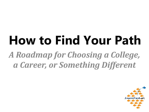## **How to Find Your Path** *A Roadmap for Choosing a College, a Career, or Something Different*

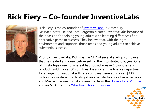#### **Rick Fiery – Co-founder InventiveLabs**



Rick Fiery is the co-founder of **InventiveLabs**, in Amesbury, Massachusetts. He and Tom Bergeron created InventiveLabs because of their passion for helping young adults with learning differences find alternative paths to success. They believe that, with the right environment and supports, those teens and young adults can achieve substantial success.

Prior to InventiveLabs, Rick was the CEO of several startup companies that he created and grew before selling them to strategic buyers. One of his startups grew to where it had subsidiaries in 6 countries and products sold in over 60 countries. He also ran the finance department for a large multinational software company generating over \$330 million before departing to do yet another startup. Rick has a Bachelors and Masters degree in civil engineering from the [University of Virginia](http://www.virginia.edu/) and an MBA from the [Wharton School of Business.](https://www.wharton.upenn.edu/)

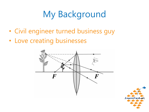## My Background

- Civil engineer turned business guy
- Love creating businesses



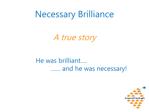Necessary Brilliance

A true story

He was brilliant…. …… and he was necessary!

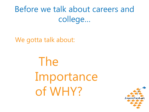## Before we talk about careers and college…

We gotta talk about:

The Importance of WHY?

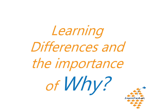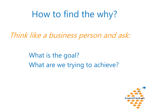## How to find the why?

Think like a business person and ask:

What is the goal? What are we trying to achieve?

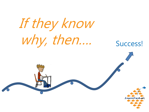If they know why, then…. Success!

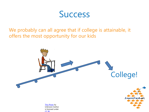

We probably can all agree that if college is attainable, it offers the most opportunity for our kids



[This Photo](http://www.justintarte.com/2014_09_01_archive.html) by Unknown Author is licensed under [CC BY](https://creativecommons.org/licenses/by/3.0/)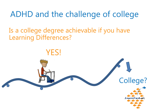#### ADHD and the challenge of college

College?

Is a college degree achievable if you have Learning Differences?

YES!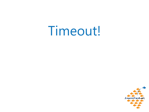# Timeout!

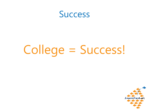

# College = Success!

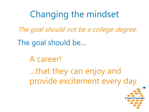## Changing the mindset

The goal should not be a college degree.

The goal should be…

A career!

…that they can enjoy and provide excitement every day

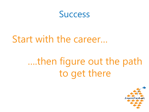

#### Start with the career…

## ….then figure out the path to get there

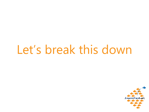# Let's break this down

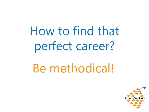How to find that perfect career?

Be methodical!

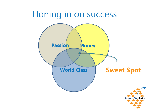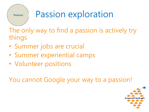

## Passion exploration

The only way to find a passion is actively try things

- Summer jobs are crucial
- Summer experiential camps
- Volunteer positions

You cannot Google your way to a passion!

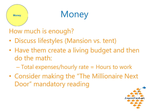# **Money**

## Money

How much is enough?

- Discuss lifestyles (Mansion vs. tent)
- Have them create a living budget and then do the math:
	- Total expenses/hourly rate = Hours to work
- Consider making the "The Millionaire Next Door" mandatory reading

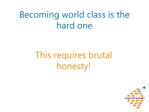## Becoming world class is the hard one

## This requires brutal honesty!

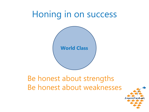## Honing in on success



#### Be honest about strengths Be honest about weaknesses

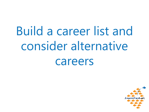Build a career list and consider alternative careers

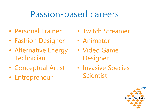#### Passion-based careers

- Personal Trainer
- Fashion Designer
- Alternative Energy Technician
- Conceptual Artist
- Entrepreneur
- Twitch Streamer
- Animator
- Video Game **Designer**
- Invasive Species Scientist

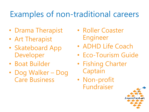#### Examples of non-traditional careers

- Drama Therapist
- Art Therapist
- Skateboard App Developer
- Boat Builder
- Dog Walker Dog Care Business
- Roller Coaster Engineer
- ADHD Life Coach
- Eco-Tourism Guide
- Fishing Charter Captain
- Non-profit Fundraiser

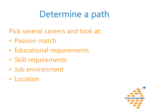## Determine a path

Pick several careers and look at:

- Passion match
- Educational requirements
- Skill requirements
- Job environment
- Location

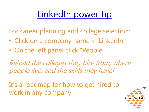## [LinkedIn power tip](https://www.linkedin.com/company/hasbro/)

For career planning and college selection:

- Click on a company name in LinkedIn
- On the left panel click "People"

Behold the colleges they hire from, where people live, and the skills they have!

It's a roadmap for how to get hired to work in any company

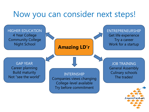#### Now you can consider next steps!

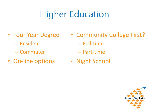## Higher Education

- Four Year Degree
	- Resident
	- Commuter
- On-line options
- Community College First?
	- Full-time
	- Part-time
- Night School

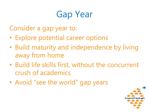## Gap Year

Consider a gap year to:

- Explore potential career options
- Build maturity and independence by living away from home
- Build life skills first, without the concurrent crush of academics
- Avoid "see the world" gap years

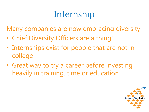## Internship

Many companies are now embracing diversity

- Chief Diversity Officers are a thing!
- Internships exist for people that are not in college
- Great way to try a career before investing heavily in training, time or education

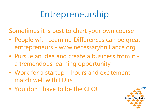## Entrepreneurship

Sometimes it is best to chart your own course

- People with Learning Differences can be great entrepreneurs - www.necessarybrilliance.org
- Pursue an idea and create a business from it a tremendous learning opportunity
- Work for a startup hours and excitement match well with  $LD'rs$
- You don't have to be the CEO!

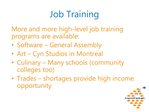## Job Training

More and more high-level job training programs are available:

- Software General Assembly
- Art Cyn Studios in Montreal
- Culinary Many schools (community colleges too)
- Trades shortages provide high income opportunity

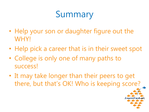## Summary

- Help your son or daughter figure out the WHY!
- Help pick a career that is in their sweet spot
- College is only one of many paths to success!
- It may take longer than their peers to get there, but that's OK! Who is keeping score?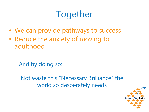## Together

- We can provide pathways to success
- Reduce the anxiety of moving to adulthood

And by doing so:

Not waste this "Necessary Brilliance" the world so desperately needs